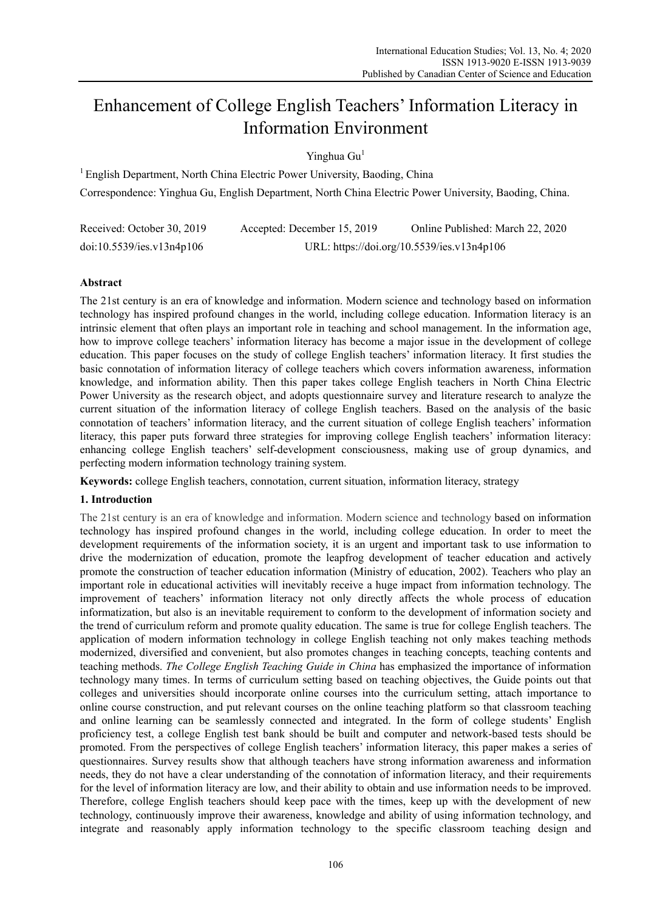# Enhancement of College English Teachers' Information Literacy in Information Environment

Yinghua Gu<sup>1</sup>

 $1$  English Department, North China Electric Power University, Baoding, China Correspondence: Yinghua Gu, English Department, North China Electric Power University, Baoding, China.

| Received: October 30, 2019 | Accepted: December 15, 2019                | Online Published: March 22, 2020 |  |
|----------------------------|--------------------------------------------|----------------------------------|--|
| doi:10.5539/ies.v13n4p106  | URL: https://doi.org/10.5539/ies.v13n4p106 |                                  |  |

# **Abstract**

The 21st century is an era of knowledge and information. Modern science and technology based on information technology has inspired profound changes in the world, including college education. Information literacy is an intrinsic element that often plays an important role in teaching and school management. In the information age, how to improve college teachers' information literacy has become a major issue in the development of college education. This paper focuses on the study of college English teachers' information literacy. It first studies the basic connotation of information literacy of college teachers which covers information awareness, information knowledge, and information ability. Then this paper takes college English teachers in North China Electric Power University as the research object, and adopts questionnaire survey and literature research to analyze the current situation of the information literacy of college English teachers. Based on the analysis of the basic connotation of teachers' information literacy, and the current situation of college English teachers' information literacy, this paper puts forward three strategies for improving college English teachers' information literacy: enhancing college English teachers' self-development consciousness, making use of group dynamics, and perfecting modern information technology training system.

**Keywords:** college English teachers, connotation, current situation, information literacy, strategy

# **1. Introduction**

The 21st century is an era of knowledge and information. Modern science and technology based on information technology has inspired profound changes in the world, including college education. In order to meet the development requirements of the information society, it is an urgent and important task to use information to drive the modernization of education, promote the leapfrog development of teacher education and actively promote the construction of teacher education information (Ministry of education, 2002). Teachers who play an important role in educational activities will inevitably receive a huge impact from information technology. The improvement of teachers' information literacy not only directly affects the whole process of education informatization, but also is an inevitable requirement to conform to the development of information society and the trend of curriculum reform and promote quality education. The same is true for college English teachers. The application of modern information technology in college English teaching not only makes teaching methods modernized, diversified and convenient, but also promotes changes in teaching concepts, teaching contents and teaching methods. *The College English Teaching Guide in China* has emphasized the importance of information technology many times. In terms of curriculum setting based on teaching objectives, the Guide points out that colleges and universities should incorporate online courses into the curriculum setting, attach importance to online course construction, and put relevant courses on the online teaching platform so that classroom teaching and online learning can be seamlessly connected and integrated. In the form of college students' English proficiency test, a college English test bank should be built and computer and network-based tests should be promoted. From the perspectives of college English teachers' information literacy, this paper makes a series of questionnaires. Survey results show that although teachers have strong information awareness and information needs, they do not have a clear understanding of the connotation of information literacy, and their requirements for the level of information literacy are low, and their ability to obtain and use information needs to be improved. Therefore, college English teachers should keep pace with the times, keep up with the development of new technology, continuously improve their awareness, knowledge and ability of using information technology, and integrate and reasonably apply information technology to the specific classroom teaching design and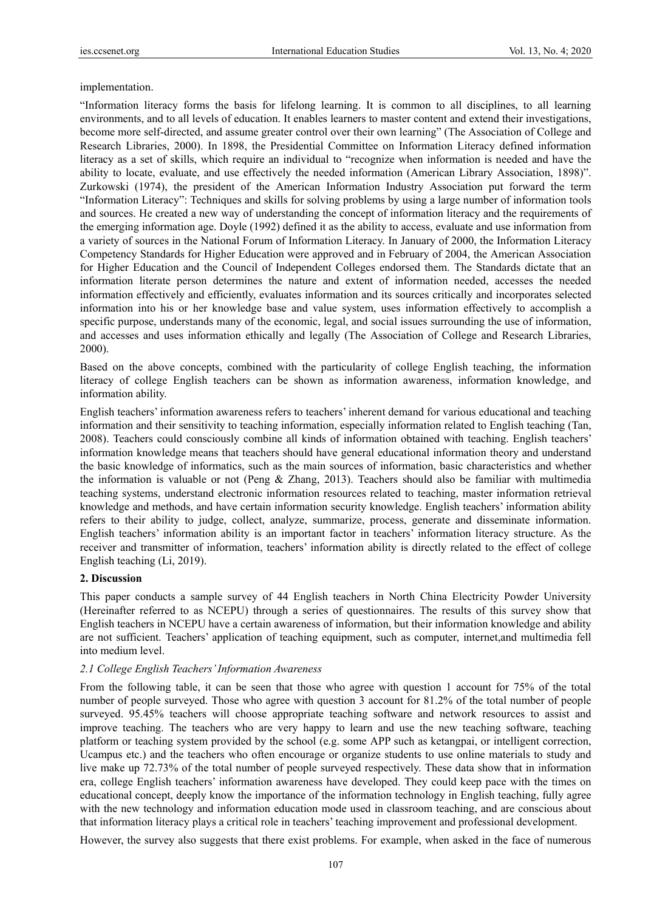## implementation.

"Information literacy forms the basis for lifelong learning. It is common to all disciplines, to all learning environments, and to all levels of education. It enables learners to master content and extend their investigations, become more self-directed, and assume greater control over their own learning" (The Association of College and Research Libraries, 2000). In 1898, the Presidential Committee on Information Literacy defined information literacy as a set of skills, which require an individual to "recognize when information is needed and have the ability to locate, evaluate, and use effectively the needed information (American Library Association, 1898)". Zurkowski (1974), the president of the American Information Industry Association put forward the term "Information Literacy": Techniques and skills for solving problems by using a large number of information tools and sources. He created a new way of understanding the concept of information literacy and the requirements of the emerging information age. Doyle (1992) defined it as the ability to access, evaluate and use information from a variety of sources in the National Forum of Information Literacy. In January of 2000, the Information Literacy Competency Standards for Higher Education were approved and in February of 2004, the American Association for Higher Education and the Council of Independent Colleges endorsed them. The Standards dictate that an information literate person determines the nature and extent of information needed, accesses the needed information effectively and efficiently, evaluates information and its sources critically and incorporates selected information into his or her knowledge base and value system, uses information effectively to accomplish a specific purpose, understands many of the economic, legal, and social issues surrounding the use of information, and accesses and uses information ethically and legally (The Association of College and Research Libraries, 2000).

Based on the above concepts, combined with the particularity of college English teaching, the information literacy of college English teachers can be shown as information awareness, information knowledge, and information ability.

English teachers' information awareness refers to teachers' inherent demand for various educational and teaching information and their sensitivity to teaching information, especially information related to English teaching (Tan, 2008). Teachers could consciously combine all kinds of information obtained with teaching. English teachers' information knowledge means that teachers should have general educational information theory and understand the basic knowledge of informatics, such as the main sources of information, basic characteristics and whether the information is valuable or not (Peng & Zhang, 2013). Teachers should also be familiar with multimedia teaching systems, understand electronic information resources related to teaching, master information retrieval knowledge and methods, and have certain information security knowledge. English teachers' information ability refers to their ability to judge, collect, analyze, summarize, process, generate and disseminate information. English teachers' information ability is an important factor in teachers' information literacy structure. As the receiver and transmitter of information, teachers' information ability is directly related to the effect of college English teaching (Li, 2019).

## **2. Discussion**

This paper conducts a sample survey of 44 English teachers in North China Electricity Powder University (Hereinafter referred to as NCEPU) through a series of questionnaires. The results of this survey show that English teachers in NCEPU have a certain awareness of information, but their information knowledge and ability are not sufficient. Teachers' application of teaching equipment, such as computer, internet,and multimedia fell into medium level.

#### *2.1 College English Teachers' Information Awareness*

From the following table, it can be seen that those who agree with question 1 account for 75% of the total number of people surveyed. Those who agree with question 3 account for 81.2% of the total number of people surveyed. 95.45% teachers will choose appropriate teaching software and network resources to assist and improve teaching. The teachers who are very happy to learn and use the new teaching software, teaching platform or teaching system provided by the school (e.g. some APP such as ketangpai, or intelligent correction, Ucampus etc.) and the teachers who often encourage or organize students to use online materials to study and live make up 72.73% of the total number of people surveyed respectively. These data show that in information era, college English teachers' information awareness have developed. They could keep pace with the times on educational concept, deeply know the importance of the information technology in English teaching, fully agree with the new technology and information education mode used in classroom teaching, and are conscious about that information literacy plays a critical role in teachers' teaching improvement and professional development.

However, the survey also suggests that there exist problems. For example, when asked in the face of numerous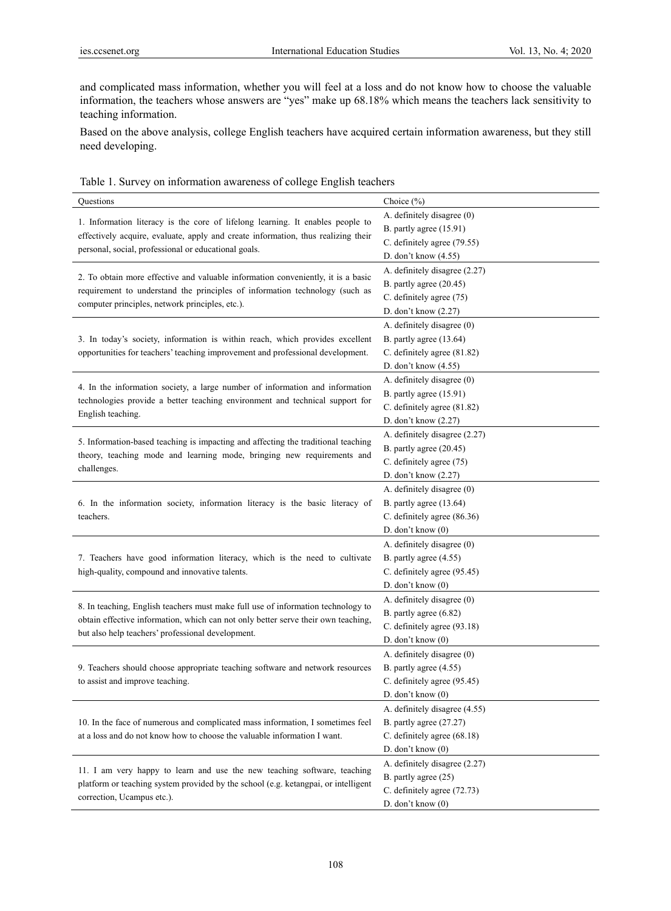and complicated mass information, whether you will feel at a loss and do not know how to choose the valuable information, the teachers whose answers are "yes" make up 68.18% which means the teachers lack sensitivity to teaching information.

Based on the above analysis, college English teachers have acquired certain information awareness, but they still need developing.

| Table 1. Survey on information awareness of college English teachers |  |  |  |  |  |
|----------------------------------------------------------------------|--|--|--|--|--|
|----------------------------------------------------------------------|--|--|--|--|--|

| Questions                                                                                                                      | Choice (%)                    |
|--------------------------------------------------------------------------------------------------------------------------------|-------------------------------|
|                                                                                                                                | A. definitely disagree (0)    |
| 1. Information literacy is the core of lifelong learning. It enables people to                                                 | B. partly agree (15.91)       |
| effectively acquire, evaluate, apply and create information, thus realizing their                                              | C. definitely agree (79.55)   |
| personal, social, professional or educational goals.                                                                           | D. don't know (4.55)          |
|                                                                                                                                | A. definitely disagree (2.27) |
| 2. To obtain more effective and valuable information conveniently, it is a basic                                               | B. partly agree (20.45)       |
| requirement to understand the principles of information technology (such as<br>computer principles, network principles, etc.). | C. definitely agree (75)      |
|                                                                                                                                | D. don't know (2.27)          |
|                                                                                                                                | A. definitely disagree (0)    |
| 3. In today's society, information is within reach, which provides excellent                                                   | B. partly agree (13.64)       |
| opportunities for teachers' teaching improvement and professional development.                                                 | C. definitely agree (81.82)   |
|                                                                                                                                | D. don't know (4.55)          |
| 4. In the information society, a large number of information and information                                                   | A. definitely disagree (0)    |
| technologies provide a better teaching environment and technical support for                                                   | B. partly agree (15.91)       |
| English teaching.                                                                                                              | C. definitely agree (81.82)   |
|                                                                                                                                | D. don't know $(2.27)$        |
| 5. Information-based teaching is impacting and affecting the traditional teaching                                              | A. definitely disagree (2.27) |
| theory, teaching mode and learning mode, bringing new requirements and                                                         | B. partly agree (20.45)       |
| challenges.                                                                                                                    | C. definitely agree (75)      |
|                                                                                                                                | D. don't know (2.27)          |
|                                                                                                                                | A. definitely disagree (0)    |
| 6. In the information society, information literacy is the basic literacy of                                                   | B. partly agree (13.64)       |
| teachers.                                                                                                                      | C. definitely agree (86.36)   |
|                                                                                                                                | D. don't know (0)             |
|                                                                                                                                | A. definitely disagree (0)    |
| 7. Teachers have good information literacy, which is the need to cultivate                                                     | B. partly agree (4.55)        |
| high-quality, compound and innovative talents.                                                                                 | C. definitely agree (95.45)   |
|                                                                                                                                | D. don't know (0)             |
| 8. In teaching, English teachers must make full use of information technology to                                               | A. definitely disagree (0)    |
| obtain effective information, which can not only better serve their own teaching,                                              | B. partly agree (6.82)        |
| but also help teachers' professional development.                                                                              | C. definitely agree (93.18)   |
|                                                                                                                                | D. don't know $(0)$           |
|                                                                                                                                | A. definitely disagree (0)    |
| 9. Teachers should choose appropriate teaching software and network resources                                                  | B. partly agree (4.55)        |
| to assist and improve teaching.                                                                                                | C. definitely agree (95.45)   |
|                                                                                                                                | D. don't know $(0)$           |
|                                                                                                                                | A. definitely disagree (4.55) |
| 10. In the face of numerous and complicated mass information, I sometimes feel                                                 | B. partly agree (27.27)       |
| at a loss and do not know how to choose the valuable information I want.                                                       | C. definitely agree (68.18)   |
|                                                                                                                                | D. don't know $(0)$           |
| 11. I am very happy to learn and use the new teaching software, teaching                                                       | A. definitely disagree (2.27) |
| platform or teaching system provided by the school (e.g. ketangpai, or intelligent                                             | B. partly agree (25)          |
| correction, Ucampus etc.).                                                                                                     | C. definitely agree (72.73)   |
|                                                                                                                                | D. don't know $(0)$           |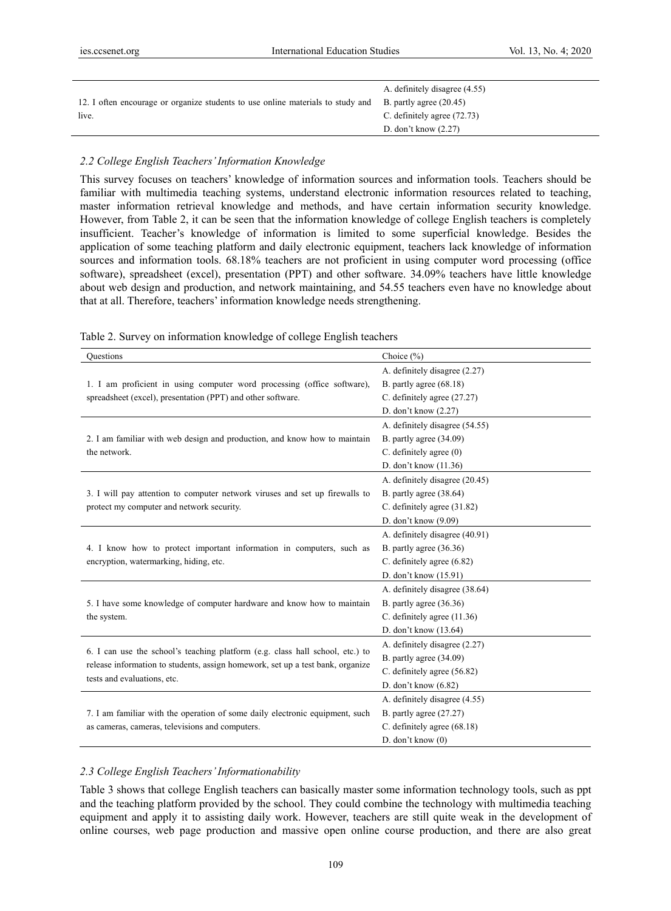|                                                                                                         | A. definitely disagree (4.55) |
|---------------------------------------------------------------------------------------------------------|-------------------------------|
| 12. I often encourage or organize students to use online materials to study and B. partly agree (20.45) |                               |
| live.                                                                                                   | C. definitely agree (72.73)   |
|                                                                                                         | D. don't know $(2.27)$        |

## *2.2 College English Teachers' Information Knowledge*

This survey focuses on teachers' knowledge of information sources and information tools. Teachers should be familiar with multimedia teaching systems, understand electronic information resources related to teaching, master information retrieval knowledge and methods, and have certain information security knowledge. However, from Table 2, it can be seen that the information knowledge of college English teachers is completely insufficient. Teacher's knowledge of information is limited to some superficial knowledge. Besides the application of some teaching platform and daily electronic equipment, teachers lack knowledge of information sources and information tools. 68.18% teachers are not proficient in using computer word processing (office software), spreadsheet (excel), presentation (PPT) and other software. 34.09% teachers have little knowledge about web design and production, and network maintaining, and 54.55 teachers even have no knowledge about that at all. Therefore, teachers' information knowledge needs strengthening.

| Questions                                                                      | Choice $(\% )$                 |  |
|--------------------------------------------------------------------------------|--------------------------------|--|
|                                                                                | A. definitely disagree (2.27)  |  |
| 1. I am proficient in using computer word processing (office software),        | B. partly agree (68.18)        |  |
| spreadsheet (excel), presentation (PPT) and other software.                    | C. definitely agree (27.27)    |  |
|                                                                                | D. don't know (2.27)           |  |
|                                                                                | A. definitely disagree (54.55) |  |
| 2. I am familiar with web design and production, and know how to maintain      | B. partly agree (34.09)        |  |
| the network.                                                                   | $C.$ definitely agree $(0)$    |  |
|                                                                                | D. don't know (11.36)          |  |
|                                                                                | A. definitely disagree (20.45) |  |
| 3. I will pay attention to computer network viruses and set up firewalls to    | B. partly agree (38.64)        |  |
| protect my computer and network security.                                      | C. definitely agree (31.82)    |  |
|                                                                                | D. don't know (9.09)           |  |
|                                                                                | A. definitely disagree (40.91) |  |
| 4. I know how to protect important information in computers, such as           | B. partly agree (36.36)        |  |
| encryption, watermarking, hiding, etc.                                         | C. definitely agree (6.82)     |  |
|                                                                                | D. don't know (15.91)          |  |
|                                                                                | A. definitely disagree (38.64) |  |
| 5. I have some knowledge of computer hardware and know how to maintain         | B. partly agree $(36.36)$      |  |
| the system.                                                                    | C. definitely agree $(11.36)$  |  |
|                                                                                | D. don't know (13.64)          |  |
| 6. I can use the school's teaching platform (e.g. class hall school, etc.) to  | A. definitely disagree (2.27)  |  |
| release information to students, assign homework, set up a test bank, organize | B. partly agree (34.09)        |  |
| tests and evaluations, etc.                                                    | C. definitely agree (56.82)    |  |
|                                                                                | D. don't know $(6.82)$         |  |
|                                                                                | A. definitely disagree (4.55)  |  |
| 7. I am familiar with the operation of some daily electronic equipment, such   | B. partly agree (27.27)        |  |
| as cameras, cameras, televisions and computers.                                | C. definitely agree (68.18)    |  |
|                                                                                | D. don't know $(0)$            |  |

Table 2. Survey on information knowledge of college English teachers

## *2.3 College English Teachers' Informationability*

Table 3 shows that college English teachers can basically master some information technology tools, such as ppt and the teaching platform provided by the school. They could combine the technology with multimedia teaching equipment and apply it to assisting daily work. However, teachers are still quite weak in the development of online courses, web page production and massive open online course production, and there are also great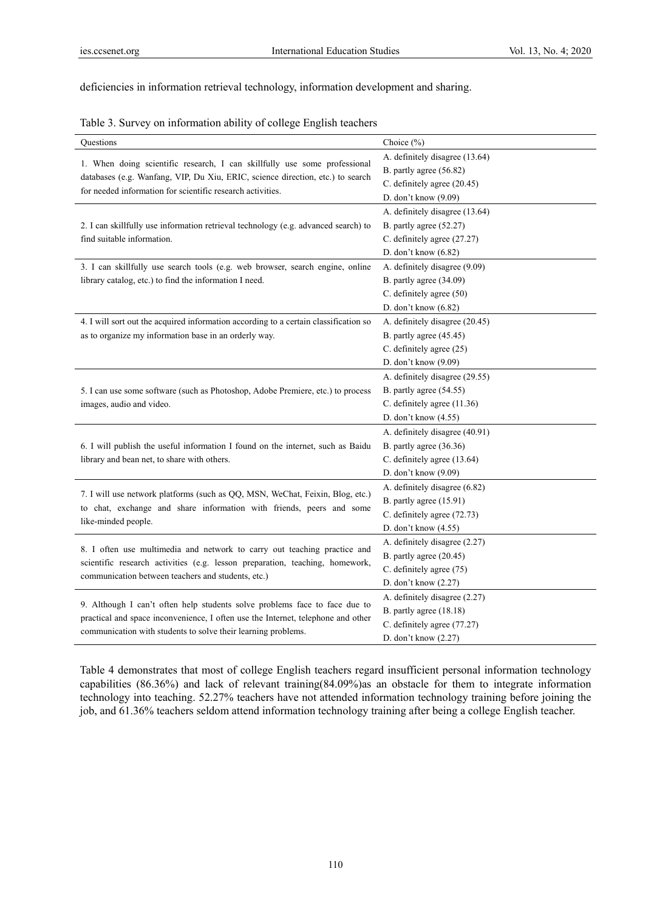deficiencies in information retrieval technology, information development and sharing.

|  |  | Table 3. Survey on information ability of college English teachers |  |
|--|--|--------------------------------------------------------------------|--|
|  |  |                                                                    |  |

| Questions                                                                                                                                                                                                                       | Choice (%)                                                                                                       |
|---------------------------------------------------------------------------------------------------------------------------------------------------------------------------------------------------------------------------------|------------------------------------------------------------------------------------------------------------------|
| 1. When doing scientific research, I can skillfully use some professional<br>databases (e.g. Wanfang, VIP, Du Xiu, ERIC, science direction, etc.) to search<br>for needed information for scientific research activities.       | A. definitely disagree (13.64)<br>B. partly agree (56.82)<br>C. definitely agree (20.45)<br>D. don't know (9.09) |
| 2. I can skillfully use information retrieval technology (e.g. advanced search) to<br>find suitable information.                                                                                                                | A. definitely disagree (13.64)<br>B. partly agree (52.27)<br>C. definitely agree (27.27)<br>D. don't know (6.82) |
| 3. I can skillfully use search tools (e.g. web browser, search engine, online<br>library catalog, etc.) to find the information I need.                                                                                         | A. definitely disagree (9.09)<br>B. partly agree (34.09)<br>C. definitely agree (50)<br>D. don't know (6.82)     |
| 4. I will sort out the acquired information according to a certain classification so<br>as to organize my information base in an orderly way.                                                                                   | A. definitely disagree (20.45)<br>B. partly agree (45.45)<br>C. definitely agree (25)<br>D. don't know (9.09)    |
| 5. I can use some software (such as Photoshop, Adobe Premiere, etc.) to process<br>images, audio and video.                                                                                                                     | A. definitely disagree (29.55)<br>B. partly agree (54.55)<br>C. definitely agree (11.36)<br>D. don't know (4.55) |
| 6. I will publish the useful information I found on the internet, such as Baidu<br>library and bean net, to share with others.                                                                                                  | A. definitely disagree (40.91)<br>B. partly agree (36.36)<br>C. definitely agree (13.64)<br>D. don't know (9.09) |
| 7. I will use network platforms (such as QQ, MSN, WeChat, Feixin, Blog, etc.)<br>to chat, exchange and share information with friends, peers and some<br>like-minded people.                                                    | A. definitely disagree (6.82)<br>B. partly agree (15.91)<br>C. definitely agree (72.73)<br>D. don't know (4.55)  |
| 8. I often use multimedia and network to carry out teaching practice and<br>scientific research activities (e.g. lesson preparation, teaching, homework,<br>communication between teachers and students, etc.)                  | A. definitely disagree (2.27)<br>B. partly agree (20.45)<br>C. definitely agree (75)<br>D. don't know (2.27)     |
| 9. Although I can't often help students solve problems face to face due to<br>practical and space inconvenience, I often use the Internet, telephone and other<br>communication with students to solve their learning problems. | A. definitely disagree (2.27)<br>B. partly agree (18.18)<br>C. definitely agree (77.27)<br>D. don't know (2.27)  |

Table 4 demonstrates that most of college English teachers regard insufficient personal information technology capabilities (86.36%) and lack of relevant training(84.09%)as an obstacle for them to integrate information technology into teaching. 52.27% teachers have not attended information technology training before joining the job, and 61.36% teachers seldom attend information technology training after being a college English teacher.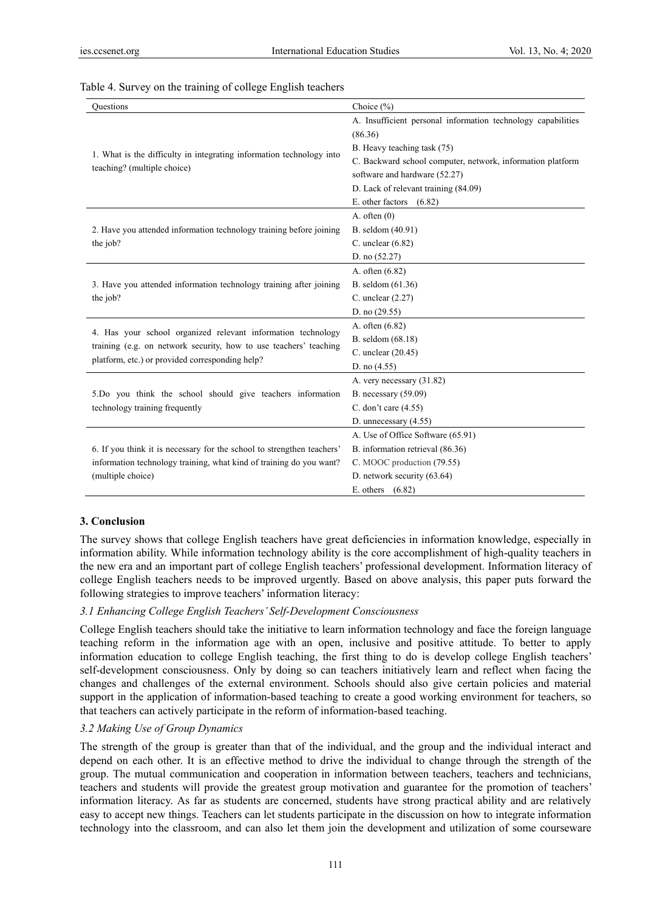| Ouestions                                                              | Choice $(\%)$                                                |  |  |
|------------------------------------------------------------------------|--------------------------------------------------------------|--|--|
|                                                                        | A. Insufficient personal information technology capabilities |  |  |
|                                                                        | (86.36)                                                      |  |  |
|                                                                        | B. Heavy teaching task (75)                                  |  |  |
| 1. What is the difficulty in integrating information technology into   | C. Backward school computer, network, information platform   |  |  |
| teaching? (multiple choice)                                            | software and hardware (52.27)                                |  |  |
|                                                                        | D. Lack of relevant training (84.09)                         |  |  |
|                                                                        | E. other factors $(6.82)$                                    |  |  |
|                                                                        | A. often $(0)$                                               |  |  |
| 2. Have you attended information technology training before joining    | B. seldom (40.91)                                            |  |  |
| the job?                                                               | C. unclear $(6.82)$                                          |  |  |
|                                                                        | D. no (52.27)                                                |  |  |
|                                                                        | A. often (6.82)                                              |  |  |
| 3. Have you attended information technology training after joining     | B. seldom (61.36)                                            |  |  |
| the job?                                                               | C. unclear $(2.27)$                                          |  |  |
|                                                                        | D. no $(29.55)$                                              |  |  |
| 4. Has your school organized relevant information technology           | A. often (6.82)                                              |  |  |
| training (e.g. on network security, how to use teachers' teaching      | B. seldom (68.18)                                            |  |  |
| platform, etc.) or provided corresponding help?                        | C. unclear (20.45)                                           |  |  |
|                                                                        | D. no $(4.55)$                                               |  |  |
|                                                                        | A. very necessary (31.82)                                    |  |  |
| 5.Do you think the school should give teachers information             | B. necessary $(59.09)$                                       |  |  |
| technology training frequently                                         | C. don't care (4.55)                                         |  |  |
|                                                                        | D. unnecessary $(4.55)$                                      |  |  |
|                                                                        | A. Use of Office Software (65.91)                            |  |  |
| 6. If you think it is necessary for the school to strengthen teachers' | B. information retrieval (86.36)                             |  |  |
| information technology training, what kind of training do you want?    | C. MOOC production (79.55)                                   |  |  |
| (multiple choice)                                                      | D. network security (63.64)                                  |  |  |
|                                                                        | E. others $(6.82)$                                           |  |  |

#### Table 4. Survey on the training of college English teachers

#### **3. Conclusion**

The survey shows that college English teachers have great deficiencies in information knowledge, especially in information ability. While information technology ability is the core accomplishment of high-quality teachers in the new era and an important part of college English teachers' professional development. Information literacy of college English teachers needs to be improved urgently. Based on above analysis, this paper puts forward the following strategies to improve teachers' information literacy:

## *3.1 Enhancing College English Teachers' Self-Development Consciousness*

College English teachers should take the initiative to learn information technology and face the foreign language teaching reform in the information age with an open, inclusive and positive attitude. To better to apply information education to college English teaching, the first thing to do is develop college English teachers' self-development consciousness. Only by doing so can teachers initiatively learn and reflect when facing the changes and challenges of the external environment. Schools should also give certain policies and material support in the application of information-based teaching to create a good working environment for teachers, so that teachers can actively participate in the reform of information-based teaching.

## *3.2 Making Use of Group Dynamics*

The strength of the group is greater than that of the individual, and the group and the individual interact and depend on each other. It is an effective method to drive the individual to change through the strength of the group. The mutual communication and cooperation in information between teachers, teachers and technicians, teachers and students will provide the greatest group motivation and guarantee for the promotion of teachers' information literacy. As far as students are concerned, students have strong practical ability and are relatively easy to accept new things. Teachers can let students participate in the discussion on how to integrate information technology into the classroom, and can also let them join the development and utilization of some courseware